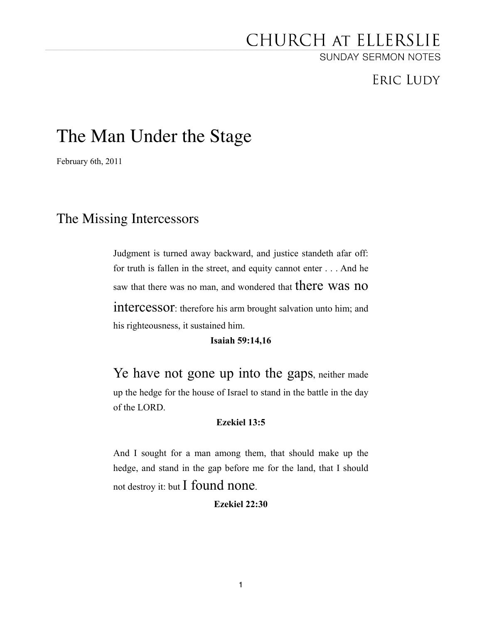# CHURCH AT ELLERSLIE

**SUNDAY SERMON NOTES** 

# **ERIC LUDY**

# The Man Under the Stage

February 6th, 2011

# The Missing Intercessors

Judgment is turned away backward, and justice standeth afar off: for truth is fallen in the street, and equity cannot enter . . . And he

saw that there was no man, and wondered that there was no

intercessor: therefore his arm brought salvation unto him; and his righteousness, it sustained him.

#### **Isaiah 59:14,16**

Ye have not gone up into the gaps, neither made up the hedge for the house of Israel to stand in the battle in the day of the LORD.

#### **Ezekiel 13:5**

And I sought for a man among them, that should make up the hedge, and stand in the gap before me for the land, that I should not destroy it: but I found none.

#### **Ezekiel 22:30**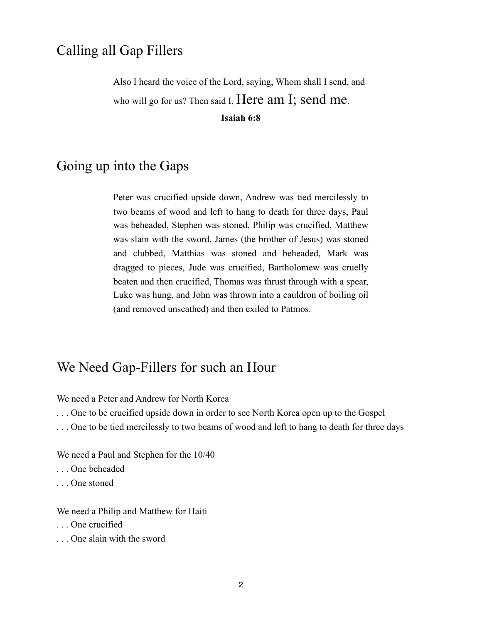# Calling all Gap Fillers

Also I heard the voice of the Lord, saying, Whom shall I send, and who will go for us? Then said I, Here am I; send me.

**Isaiah 6:8**

# Going up into the Gaps

Peter was crucified upside down, Andrew was tied mercilessly to two beams of wood and left to hang to death for three days, Paul was beheaded, Stephen was stoned, Philip was crucified, Matthew was slain with the sword, James (the brother of Jesus) was stoned and clubbed, Matthias was stoned and beheaded, Mark was dragged to pieces, Jude was crucified, Bartholomew was cruelly beaten and then crucified, Thomas was thrust through with a spear, Luke was hung, and John was thrown into a cauldron of boiling oil (and removed unscathed) and then exiled to Patmos.

# We Need Gap-Fillers for such an Hour

We need a Peter and Andrew for North Korea

- . . . One to be crucified upside down in order to see North Korea open up to the Gospel
- . . . One to be tied mercilessly to two beams of wood and left to hang to death for three days

We need a Paul and Stephen for the 10/40

- . . . One beheaded
- . . . One stoned

We need a Philip and Matthew for Haiti

- . . . One crucified
- . . . One slain with the sword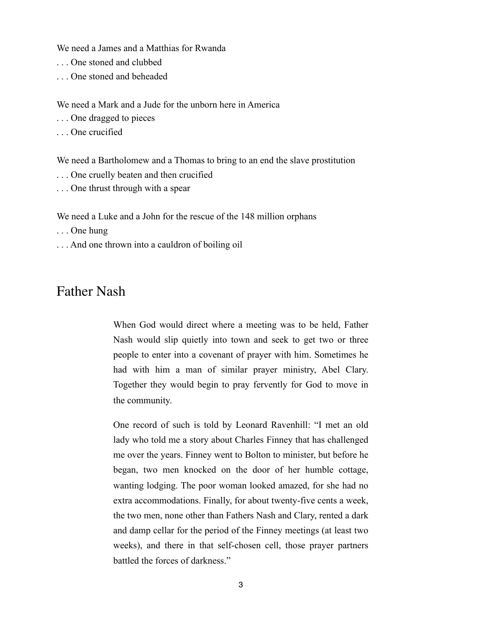We need a James and a Matthias for Rwanda

- . . . One stoned and clubbed
- . . . One stoned and beheaded

We need a Mark and a Jude for the unborn here in America

- . . . One dragged to pieces
- . . . One crucified

We need a Bartholomew and a Thomas to bring to an end the slave prostitution

- . . . One cruelly beaten and then crucified
- . . . One thrust through with a spear

We need a Luke and a John for the rescue of the 148 million orphans

- . . . One hung
- . . . And one thrown into a cauldron of boiling oil

#### Father Nash

When God would direct where a meeting was to be held, Father Nash would slip quietly into town and seek to get two or three people to enter into a covenant of prayer with him. Sometimes he had with him a man of similar prayer ministry, Abel Clary. Together they would begin to pray fervently for God to move in the community.

One record of such is told by Leonard Ravenhill: "I met an old lady who told me a story about Charles Finney that has challenged me over the years. Finney went to Bolton to minister, but before he began, two men knocked on the door of her humble cottage, wanting lodging. The poor woman looked amazed, for she had no extra accommodations. Finally, for about twenty-five cents a week, the two men, none other than Fathers Nash and Clary, rented a dark and damp cellar for the period of the Finney meetings (at least two weeks), and there in that self-chosen cell, those prayer partners battled the forces of darkness."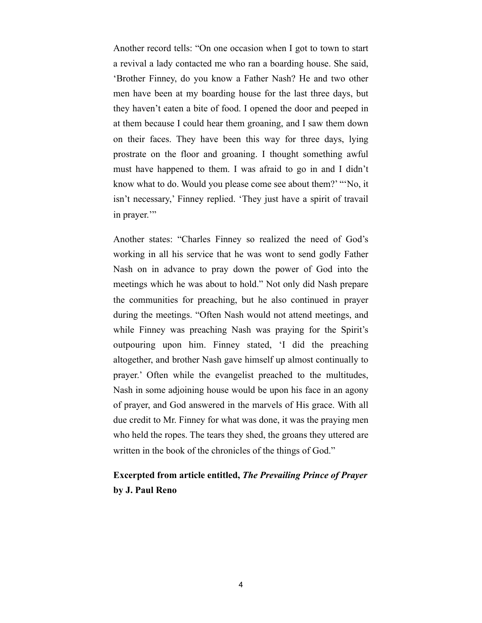Another record tells: "On one occasion when I got to town to start a revival a lady contacted me who ran a boarding house. She said, 'Brother Finney, do you know a Father Nash? He and two other men have been at my boarding house for the last three days, but they haven't eaten a bite of food. I opened the door and peeped in at them because I could hear them groaning, and I saw them down on their faces. They have been this way for three days, lying prostrate on the floor and groaning. I thought something awful must have happened to them. I was afraid to go in and I didn't know what to do. Would you please come see about them?' "'No, it isn't necessary,' Finney replied. 'They just have a spirit of travail in prayer."

Another states: "Charles Finney so realized the need of God's working in all his service that he was wont to send godly Father Nash on in advance to pray down the power of God into the meetings which he was about to hold." Not only did Nash prepare the communities for preaching, but he also continued in prayer during the meetings. "Often Nash would not attend meetings, and while Finney was preaching Nash was praying for the Spirit's outpouring upon him. Finney stated, 'I did the preaching altogether, and brother Nash gave himself up almost continually to prayer.' Often while the evangelist preached to the multitudes, Nash in some adjoining house would be upon his face in an agony of prayer, and God answered in the marvels of His grace. With all due credit to Mr. Finney for what was done, it was the praying men who held the ropes. The tears they shed, the groans they uttered are written in the book of the chronicles of the things of God."

#### **Excerpted from article entitled,** *The Prevailing Prince of Prayer* **by J. Paul Reno**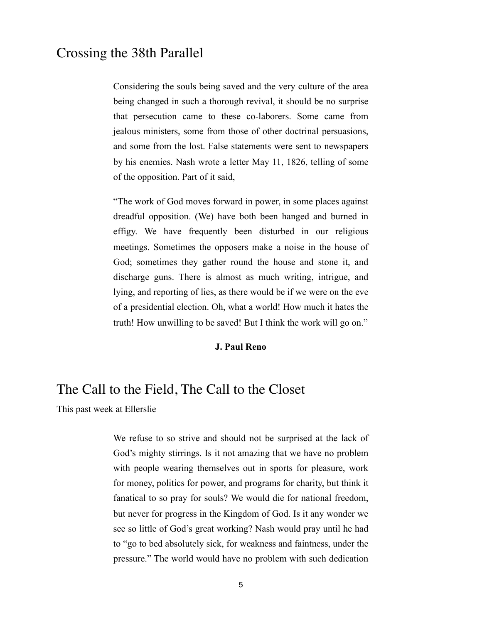### Crossing the 38th Parallel

Considering the souls being saved and the very culture of the area being changed in such a thorough revival, it should be no surprise that persecution came to these co-laborers. Some came from jealous ministers, some from those of other doctrinal persuasions, and some from the lost. False statements were sent to newspapers by his enemies. Nash wrote a letter May 11, 1826, telling of some of the opposition. Part of it said,

"The work of God moves forward in power, in some places against dreadful opposition. (We) have both been hanged and burned in effigy. We have frequently been disturbed in our religious meetings. Sometimes the opposers make a noise in the house of God; sometimes they gather round the house and stone it, and discharge guns. There is almost as much writing, intrigue, and lying, and reporting of lies, as there would be if we were on the eve of a presidential election. Oh, what a world! How much it hates the truth! How unwilling to be saved! But I think the work will go on."

#### **J. Paul Reno**

#### The Call to the Field, The Call to the Closet

This past week at Ellerslie

We refuse to so strive and should not be surprised at the lack of God's mighty stirrings. Is it not amazing that we have no problem with people wearing themselves out in sports for pleasure, work for money, politics for power, and programs for charity, but think it fanatical to so pray for souls? We would die for national freedom, but never for progress in the Kingdom of God. Is it any wonder we see so little of God's great working? Nash would pray until he had to "go to bed absolutely sick, for weakness and faintness, under the pressure." The world would have no problem with such dedication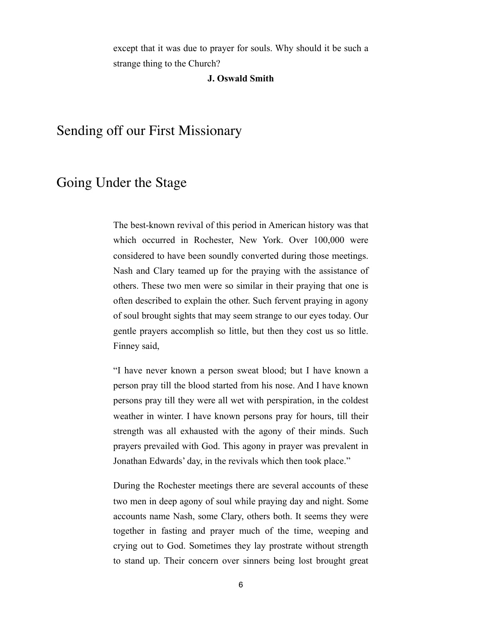except that it was due to prayer for souls. Why should it be such a strange thing to the Church?

#### **J. Oswald Smith**

#### Sending off our First Missionary

#### Going Under the Stage

The best-known revival of this period in American history was that which occurred in Rochester, New York. Over 100,000 were considered to have been soundly converted during those meetings. Nash and Clary teamed up for the praying with the assistance of others. These two men were so similar in their praying that one is often described to explain the other. Such fervent praying in agony of soul brought sights that may seem strange to our eyes today. Our gentle prayers accomplish so little, but then they cost us so little. Finney said,

"I have never known a person sweat blood; but I have known a person pray till the blood started from his nose. And I have known persons pray till they were all wet with perspiration, in the coldest weather in winter. I have known persons pray for hours, till their strength was all exhausted with the agony of their minds. Such prayers prevailed with God. This agony in prayer was prevalent in Jonathan Edwards' day, in the revivals which then took place."

During the Rochester meetings there are several accounts of these two men in deep agony of soul while praying day and night. Some accounts name Nash, some Clary, others both. It seems they were together in fasting and prayer much of the time, weeping and crying out to God. Sometimes they lay prostrate without strength to stand up. Their concern over sinners being lost brought great